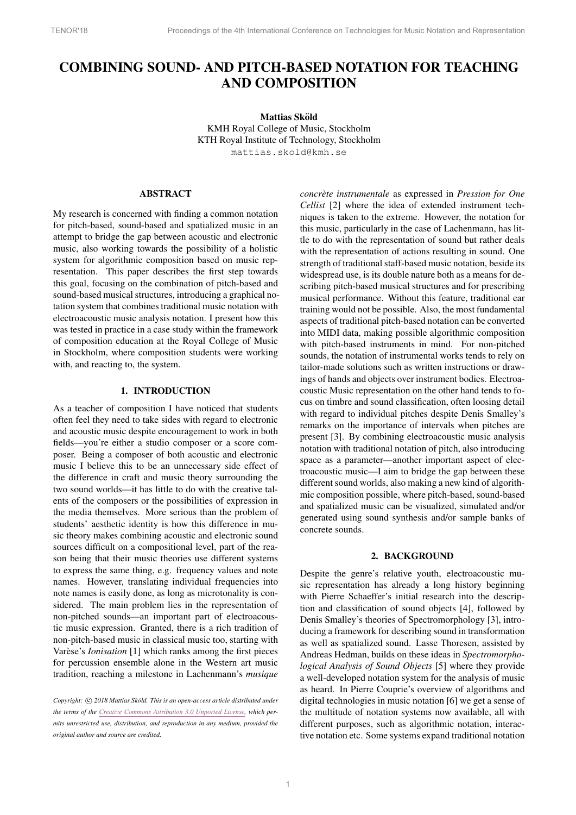# COMBINING SOUND- AND PITCH-BASED NOTATION FOR TEACHING AND COMPOSITION

Mattias Sköld KMH Royal College of Music, Stockholm KTH Royal Institute of Technology, Stockholm [mattias.skold@kmh.se](mailto:mattias.skold@kmh.se)

# ABSTRACT

My research is concerned with finding a common notation for pitch-based, sound-based and spatialized music in an attempt to bridge the gap between acoustic and electronic music, also working towards the possibility of a holistic system for algorithmic composition based on music representation. This paper describes the first step towards this goal, focusing on the combination of pitch-based and sound-based musical structures, introducing a graphical notation system that combines traditional music notation with electroacoustic music analysis notation. I present how this was tested in practice in a case study within the framework of composition education at the Royal College of Music in Stockholm, where composition students were working with, and reacting to, the system.

#### 1. INTRODUCTION

As a teacher of composition I have noticed that students often feel they need to take sides with regard to electronic and acoustic music despite encouragement to work in both fields—you're either a studio composer or a score composer. Being a composer of both acoustic and electronic music I believe this to be an unnecessary side effect of the difference in craft and music theory surrounding the two sound worlds—it has little to do with the creative talents of the composers or the possibilities of expression in the media themselves. More serious than the problem of students' aesthetic identity is how this difference in music theory makes combining acoustic and electronic sound sources difficult on a compositional level, part of the reason being that their music theories use different systems to express the same thing, e.g. frequency values and note names. However, translating individual frequencies into note names is easily done, as long as microtonality is considered. The main problem lies in the representation of non-pitched sounds—an important part of electroacoustic music expression. Granted, there is a rich tradition of non-pitch-based music in classical music too, starting with Varèse's *Ionisation* [\[1\]](#page-5-0) which ranks among the first pieces for percussion ensemble alone in the Western art music tradition, reaching a milestone in Lachenmann's *musique* *concrete instrumentale `* as expressed in *Pression for One Cellist* [\[2\]](#page-5-1) where the idea of extended instrument techniques is taken to the extreme. However, the notation for this music, particularly in the case of Lachenmann, has little to do with the representation of sound but rather deals with the representation of actions resulting in sound. One strength of traditional staff-based music notation, beside its widespread use, is its double nature both as a means for describing pitch-based musical structures and for prescribing musical performance. Without this feature, traditional ear training would not be possible. Also, the most fundamental aspects of traditional pitch-based notation can be converted into MIDI data, making possible algorithmic composition with pitch-based instruments in mind. For non-pitched sounds, the notation of instrumental works tends to rely on tailor-made solutions such as written instructions or drawings of hands and objects over instrument bodies. Electroacoustic Music representation on the other hand tends to focus on timbre and sound classification, often loosing detail with regard to individual pitches despite Denis Smalley's remarks on the importance of intervals when pitches are present [\[3\]](#page-5-2). By combining electroacoustic music analysis notation with traditional notation of pitch, also introducing space as a parameter—another important aspect of electroacoustic music—I aim to bridge the gap between these different sound worlds, also making a new kind of algorithmic composition possible, where pitch-based, sound-based and spatialized music can be visualized, simulated and/or generated using sound synthesis and/or sample banks of concrete sounds.

# 2. BACKGROUND

Despite the genre's relative youth, electroacoustic music representation has already a long history beginning with Pierre Schaeffer's initial research into the description and classification of sound objects [\[4\]](#page-5-3), followed by Denis Smalley's theories of Spectromorphology [\[3\]](#page-5-2), introducing a framework for describing sound in transformation as well as spatialized sound. Lasse Thoresen, assisted by Andreas Hedman, builds on these ideas in *Spectromorphological Analysis of Sound Objects* [\[5\]](#page-5-4) where they provide a well-developed notation system for the analysis of music as heard. In Pierre Couprie's overview of algorithms and digital technologies in music notation [\[6\]](#page-5-5) we get a sense of the multitude of notation systems now available, all with different purposes, such as algorithmic notation, interactive notation etc. Some systems expand traditional notation

*Copyright:*  $\circled{c}$  2018 Mattias Sköld. This is an open-access article distributed under *the terms of the Creative Commons [Attribution](http://creativecommons.org/licenses/by/3.0/) 3.0 Unported License, which permits unrestricted use, distribution, and reproduction in any medium, provided the original author and source are credited.*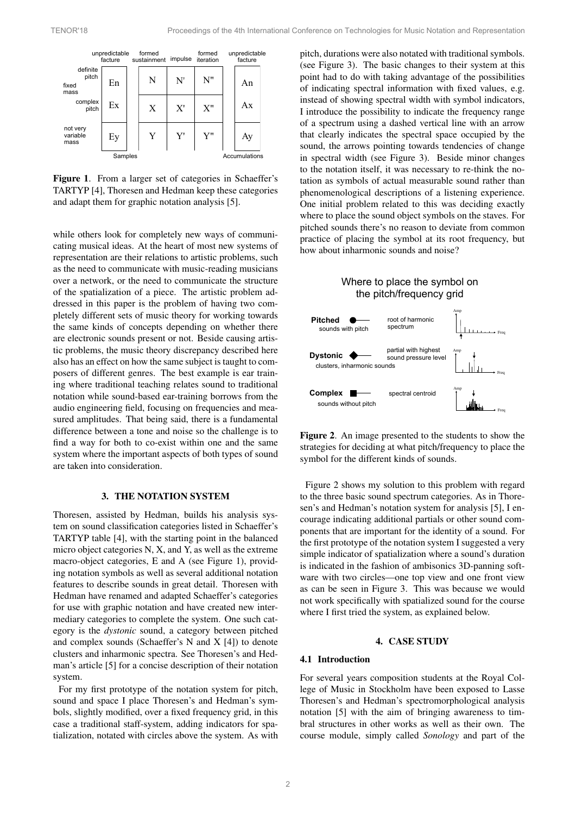<span id="page-1-0"></span>

| unpredictable<br>facture           |    |  | formed<br>sustainment | impulse | formed<br>iteration | unpredictable<br>facture |    |  |
|------------------------------------|----|--|-----------------------|---------|---------------------|--------------------------|----|--|
| definite<br>pitch<br>fixed<br>mass | En |  | N                     | N'      | N"                  |                          | An |  |
| complex<br>pitch                   | Ex |  | X                     | X'      | X''                 |                          | Ax |  |
| not very<br>variable<br>mass       | Ey |  | Y                     | Y'      | Y"                  |                          | Ay |  |
| Samples                            |    |  |                       |         |                     | Accumulations            |    |  |

Figure 1. From a larger set of categories in Schaeffer's TARTYP [\[4\]](#page-5-3), Thoresen and Hedman keep these categories and adapt them for graphic notation analysis [\[5\]](#page-5-4).

while others look for completely new ways of communicating musical ideas. At the heart of most new systems of representation are their relations to artistic problems, such as the need to communicate with music-reading musicians over a network, or the need to communicate the structure of the spatialization of a piece. The artistic problem addressed in this paper is the problem of having two completely different sets of music theory for working towards the same kinds of concepts depending on whether there are electronic sounds present or not. Beside causing artistic problems, the music theory discrepancy described here also has an effect on how the same subject is taught to composers of different genres. The best example is ear training where traditional teaching relates sound to traditional notation while sound-based ear-training borrows from the audio engineering field, focusing on frequencies and measured amplitudes. That being said, there is a fundamental difference between a tone and noise so the challenge is to find a way for both to co-exist within one and the same system where the important aspects of both types of sound are taken into consideration.

# 3. THE NOTATION SYSTEM

Thoresen, assisted by Hedman, builds his analysis system on sound classification categories listed in Schaeffer's TARTYP table [\[4\]](#page-5-3), with the starting point in the balanced micro object categories N, X, and Y, as well as the extreme macro-object categories, E and A (see [Figure 1\)](#page-1-0), providing notation symbols as well as several additional notation features to describe sounds in great detail. Thoresen with Hedman have renamed and adapted Schaeffer's categories for use with graphic notation and have created new intermediary categories to complete the system. One such category is the *dystonic* sound, a category between pitched and complex sounds (Schaeffer's N and X [\[4\]](#page-5-3)) to denote clusters and inharmonic spectra. See Thoresen's and Hedman's article [\[5\]](#page-5-4) for a concise description of their notation system.

For my first prototype of the notation system for pitch, sound and space I place Thoresen's and Hedman's symbols, slightly modified, over a fixed frequency grid, in this case a traditional staff-system, adding indicators for spatialization, notated with circles above the system. As with pitch, durations were also notated with traditional symbols. (see [Figure 3\)](#page-2-0). The basic changes to their system at this point had to do with taking advantage of the possibilities of indicating spectral information with fixed values, e.g. instead of showing spectral width with symbol indicators, I introduce the possibility to indicate the frequency range of a spectrum using a dashed vertical line with an arrow that clearly indicates the spectral space occupied by the sound, the arrows pointing towards tendencies of change in spectral width (see [Figure 3\)](#page-2-0). Beside minor changes to the notation itself, it was necessary to re-think the notation as symbols of actual measurable sound rather than phenomenological descriptions of a listening experience. One initial problem related to this was deciding exactly where to place the sound object symbols on the staves. For pitched sounds there's no reason to deviate from common practice of placing the symbol at its root frequency, but how about inharmonic sounds and noise?

# Where to place the symbol on the pitch/frequency grid

<span id="page-1-1"></span>

Figure 2. An image presented to the students to show the strategies for deciding at what pitch/frequency to place the symbol for the different kinds of sounds.

[Figure 2](#page-1-1) shows my solution to this problem with regard to the three basic sound spectrum categories. As in Thoresen's and Hedman's notation system for analysis [\[5\]](#page-5-4), I encourage indicating additional partials or other sound components that are important for the identity of a sound. For the first prototype of the notation system I suggested a very simple indicator of spatialization where a sound's duration is indicated in the fashion of ambisonics 3D-panning software with two circles—one top view and one front view as can be seen in [Figure 3.](#page-2-0) This was because we would not work specifically with spatialized sound for the course where I first tried the system, as explained below.

## 4. CASE STUDY

#### 4.1 Introduction

For several years composition students at the Royal College of Music in Stockholm have been exposed to Lasse Thoresen's and Hedman's spectromorphological analysis notation [\[5\]](#page-5-4) with the aim of bringing awareness to timbral structures in other works as well as their own. The course module, simply called *Sonology* and part of the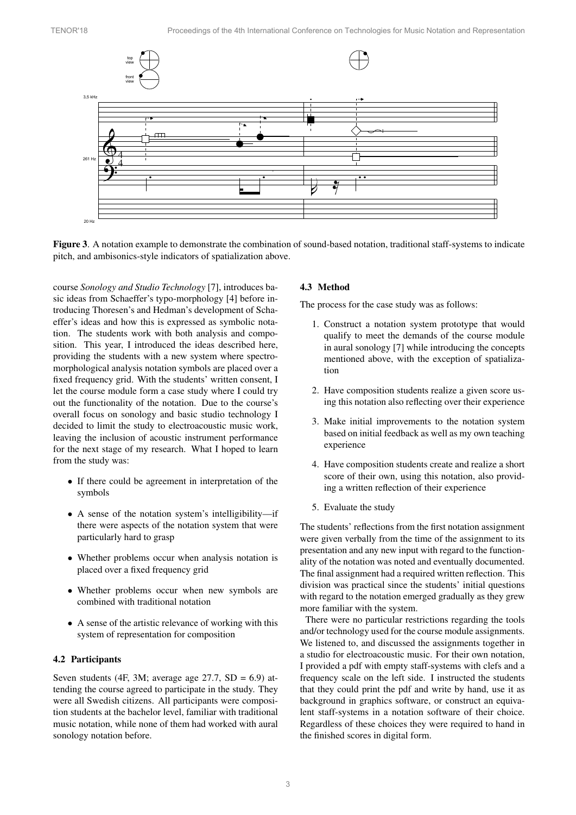

<span id="page-2-0"></span>Figure 3. A notation example to demonstrate the combination of sound-based notation, traditional staff-systems to indicate pitch, and ambisonics-style indicators of spatialization above.

course *Sonology and Studio Technology* [\[7\]](#page-5-6), introduces basic ideas from Schaeffer's typo-morphology [\[4\]](#page-5-3) before introducing Thoresen's and Hedman's development of Schaeffer's ideas and how this is expressed as symbolic notation. The students work with both analysis and composition. This year, I introduced the ideas described here, providing the students with a new system where spectromorphological analysis notation symbols are placed over a fixed frequency grid. With the students' written consent, I let the course module form a case study where I could try out the functionality of the notation. Due to the course's overall focus on sonology and basic studio technology I decided to limit the study to electroacoustic music work, leaving the inclusion of acoustic instrument performance for the next stage of my research. What I hoped to learn from the study was:

- *•* If there could be agreement in interpretation of the symbols
- *•* A sense of the notation system's intelligibility—if there were aspects of the notation system that were particularly hard to grasp
- *•* Whether problems occur when analysis notation is placed over a fixed frequency grid
- *•* Whether problems occur when new symbols are combined with traditional notation
- *•* A sense of the artistic relevance of working with this system of representation for composition

#### 4.2 Participants

Seven students (4F, 3M; average age  $27.7$ , SD = 6.9) attending the course agreed to participate in the study. They were all Swedish citizens. All participants were composition students at the bachelor level, familiar with traditional music notation, while none of them had worked with aural sonology notation before.

## 4.3 Method

The process for the case study was as follows:

- 1. Construct a notation system prototype that would qualify to meet the demands of the course module in aural sonology [\[7\]](#page-5-6) while introducing the concepts mentioned above, with the exception of spatialization
- 2. Have composition students realize a given score using this notation also reflecting over their experience
- 3. Make initial improvements to the notation system based on initial feedback as well as my own teaching experience
- 4. Have composition students create and realize a short score of their own, using this notation, also providing a written reflection of their experience
- 5. Evaluate the study

The students' reflections from the first notation assignment were given verbally from the time of the assignment to its presentation and any new input with regard to the functionality of the notation was noted and eventually documented. The final assignment had a required written reflection. This division was practical since the students' initial questions with regard to the notation emerged gradually as they grew more familiar with the system.

There were no particular restrictions regarding the tools and/or technology used for the course module assignments. We listened to, and discussed the assignments together in a studio for electroacoustic music. For their own notation, I provided a pdf with empty staff-systems with clefs and a frequency scale on the left side. I instructed the students that they could print the pdf and write by hand, use it as background in graphics software, or construct an equivalent staff-systems in a notation software of their choice. Regardless of these choices they were required to hand in the finished scores in digital form.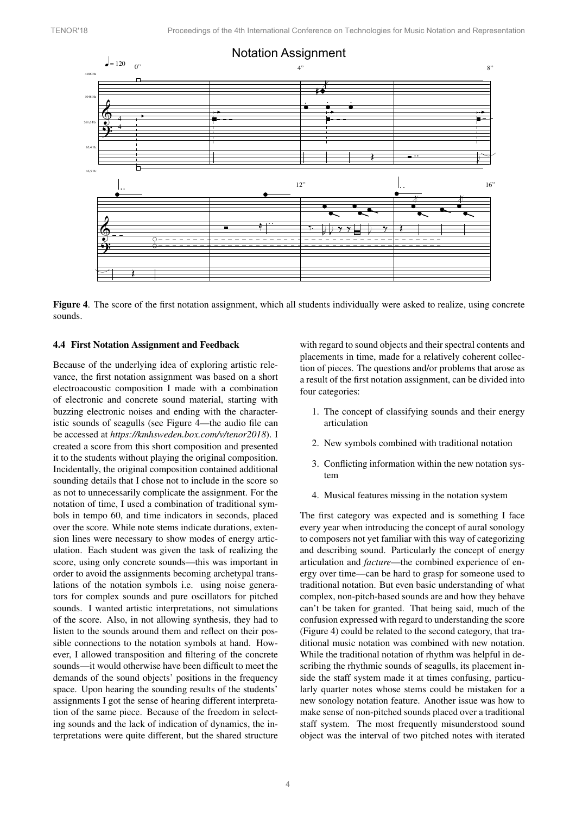

<span id="page-3-0"></span>Figure 4. The score of the first notation assignment, which all students individually were asked to realize, using concrete sounds.

# & 4.4 First Notation Assignment and Feedback

? Because of the underlying idea of exploring artistic relevance, the first notation assignment was based on a short electroacoustic composition I made with a combination of electronic and concrete sound material, starting with buzzing electronic noises and ending with the characteristic sounds of seagulls (see [Figure 4—](#page-3-0)the audio file can be accessed at *<https://kmhsweden.box.com/v/tenor2018>*). I created a score from this short composition and presented it to the students without playing the original composition. Incidentally, the original composition contained additional sounding details that I chose not to include in the score so as not to unnecessarily complicate the assignment. For the notation of time, I used a combination of traditional symbols in tempo 60, and time indicators in seconds, placed over the score. While note stems indicate durations, extension lines were necessary to show modes of energy articulation. Each student was given the task of realizing the score, using only concrete sounds—this was important in order to avoid the assignments becoming archetypal translations of the notation symbols i.e. using noise generators for complex sounds and pure oscillators for pitched sounds. I wanted artistic interpretations, not simulations of the score. Also, in not allowing synthesis, they had to listen to the sounds around them and reflect on their possible connections to the notation symbols at hand. However, I allowed transposition and filtering of the concrete sounds—it would otherwise have been difficult to meet the demands of the sound objects' positions in the frequency space. Upon hearing the sounding results of the students' assignments I got the sense of hearing different interpretation of the same piece. Because of the freedom in selecting sounds and the lack of indication of dynamics, the interpretations were quite different, but the shared structure with regard to sound objects and their spectral contents and placements in time, made for a relatively coherent collection of pieces. The questions and/or problems that arose as a result of the first notation assignment, can be divided into four categories:

- 1. The concept of classifying sounds and their energy articulation
- 2. New symbols combined with traditional notation
- 3. Conflicting information within the new notation system
- 4. Musical features missing in the notation system

The first category was expected and is something I face every year when introducing the concept of aural sonology to composers not yet familiar with this way of categorizing and describing sound. Particularly the concept of energy articulation and *facture*—the combined experience of energy over time—can be hard to grasp for someone used to traditional notation. But even basic understanding of what complex, non-pitch-based sounds are and how they behave can't be taken for granted. That being said, much of the confusion expressed with regard to understanding the score [\(Figure 4\)](#page-3-0) could be related to the second category, that traditional music notation was combined with new notation. While the traditional notation of rhythm was helpful in describing the rhythmic sounds of seagulls, its placement inside the staff system made it at times confusing, particularly quarter notes whose stems could be mistaken for a new sonology notation feature. Another issue was how to make sense of non-pitched sounds placed over a traditional staff system. The most frequently misunderstood sound object was the interval of two pitched notes with iterated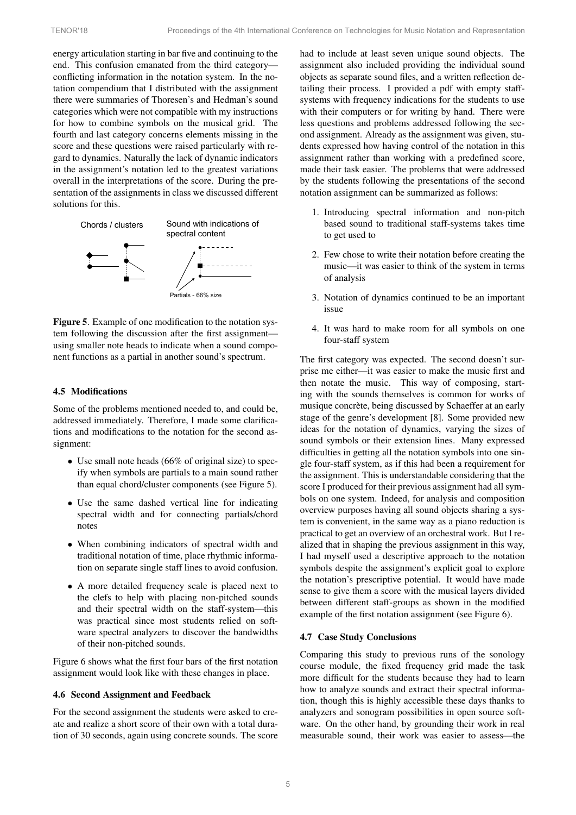energy articulation starting in bar five and continuing to the end. This confusion emanated from the third category conflicting information in the notation system. In the notation compendium that I distributed with the assignment there were summaries of Thoresen's and Hedman's sound categories which were not compatible with my instructions for how to combine symbols on the musical grid. The fourth and last category concerns elements missing in the score and these questions were raised particularly with regard to dynamics. Naturally the lack of dynamic indicators in the assignment's notation led to the greatest variations overall in the interpretations of the score. During the presentation of the assignments in class we discussed different solutions for this.

<span id="page-4-0"></span>

Figure 5. Example of one modification to the notation system following the discussion after the first assignment using smaller note heads to indicate when a sound component functions as a partial in another sound's spectrum.

## 4.5 Modifications

Some of the problems mentioned needed to, and could be, addressed immediately. Therefore, I made some clarifications and modifications to the notation for the second assignment:

- *•* Use small note heads (66% of original size) to specify when symbols are partials to a main sound rather than equal chord/cluster components (see [Figure 5\)](#page-4-0).
- *•* Use the same dashed vertical line for indicating spectral width and for connecting partials/chord notes
- *•* When combining indicators of spectral width and traditional notation of time, place rhythmic information on separate single staff lines to avoid confusion.
- *•* A more detailed frequency scale is placed next to the clefs to help with placing non-pitched sounds and their spectral width on the staff-system—this was practical since most students relied on software spectral analyzers to discover the bandwidths of their non-pitched sounds.

[Figure 6](#page-5-7) shows what the first four bars of the first notation assignment would look like with these changes in place.

#### 4.6 Second Assignment and Feedback

For the second assignment the students were asked to create and realize a short score of their own with a total duration of 30 seconds, again using concrete sounds. The score had to include at least seven unique sound objects. The assignment also included providing the individual sound objects as separate sound files, and a written reflection detailing their process. I provided a pdf with empty staffsystems with frequency indications for the students to use with their computers or for writing by hand. There were less questions and problems addressed following the second assignment. Already as the assignment was given, students expressed how having control of the notation in this assignment rather than working with a predefined score, made their task easier. The problems that were addressed by the students following the presentations of the second notation assignment can be summarized as follows:

- 1. Introducing spectral information and non-pitch based sound to traditional staff-systems takes time to get used to
- 2. Few chose to write their notation before creating the music—it was easier to think of the system in terms of analysis
- 3. Notation of dynamics continued to be an important issue
- 4. It was hard to make room for all symbols on one four-staff system

The first category was expected. The second doesn't surprise me either—it was easier to make the music first and then notate the music. This way of composing, starting with the sounds themselves is common for works of musique concrète, being discussed by Schaeffer at an early stage of the genre's development [\[8\]](#page-5-8). Some provided new ideas for the notation of dynamics, varying the sizes of sound symbols or their extension lines. Many expressed difficulties in getting all the notation symbols into one single four-staff system, as if this had been a requirement for the assignment. This is understandable considering that the score I produced for their previous assignment had all symbols on one system. Indeed, for analysis and composition overview purposes having all sound objects sharing a system is convenient, in the same way as a piano reduction is practical to get an overview of an orchestral work. But I realized that in shaping the previous assignment in this way, I had myself used a descriptive approach to the notation symbols despite the assignment's explicit goal to explore the notation's prescriptive potential. It would have made sense to give them a score with the musical layers divided between different staff-groups as shown in the modified example of the first notation assignment (see [Figure 6\)](#page-5-7).

#### 4.7 Case Study Conclusions

Comparing this study to previous runs of the sonology course module, the fixed frequency grid made the task more difficult for the students because they had to learn how to analyze sounds and extract their spectral information, though this is highly accessible these days thanks to analyzers and sonogram possibilities in open source software. On the other hand, by grounding their work in real measurable sound, their work was easier to assess—the